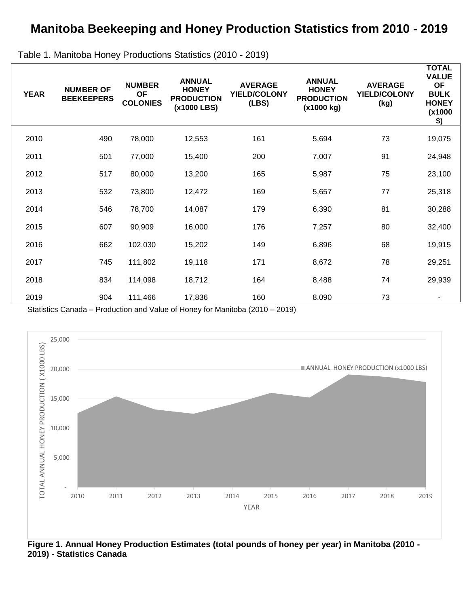Table 1. Manitoba Honey Productions Statistics (2010 - 2019)

| <b>YEAR</b> | <b>NUMBER OF</b><br><b>BEEKEEPERS</b> | <b>NUMBER</b><br><b>OF</b><br><b>COLONIES</b> | <b>ANNUAL</b><br><b>HONEY</b><br><b>PRODUCTION</b><br>(x1000 LBS) | <b>AVERAGE</b><br>YIELD/COLONY<br>(LBS) | <b>ANNUAL</b><br><b>HONEY</b><br><b>PRODUCTION</b><br>(x1000 kg) | <b>AVERAGE</b><br>YIELD/COLONY<br>(kg) | <b>TOTAL</b><br><b>VALUE</b><br><b>OF</b><br><b>BULK</b><br><b>HONEY</b><br>(x1000)<br>\$) |
|-------------|---------------------------------------|-----------------------------------------------|-------------------------------------------------------------------|-----------------------------------------|------------------------------------------------------------------|----------------------------------------|--------------------------------------------------------------------------------------------|
| 2010        | 490                                   | 78,000                                        | 12,553                                                            | 161                                     | 5,694                                                            | 73                                     | 19,075                                                                                     |
| 2011        | 501                                   | 77,000                                        | 15,400                                                            | 200                                     | 7,007                                                            | 91                                     | 24,948                                                                                     |
| 2012        | 517                                   | 80,000                                        | 13,200                                                            | 165                                     | 5,987                                                            | 75                                     | 23,100                                                                                     |
| 2013        | 532                                   | 73,800                                        | 12,472                                                            | 169                                     | 5,657                                                            | 77                                     | 25,318                                                                                     |
| 2014        | 546                                   | 78,700                                        | 14,087                                                            | 179                                     | 6,390                                                            | 81                                     | 30,288                                                                                     |
| 2015        | 607                                   | 90,909                                        | 16,000                                                            | 176                                     | 7,257                                                            | 80                                     | 32,400                                                                                     |
| 2016        | 662                                   | 102,030                                       | 15,202                                                            | 149                                     | 6,896                                                            | 68                                     | 19,915                                                                                     |
| 2017        | 745                                   | 111,802                                       | 19,118                                                            | 171                                     | 8,672                                                            | 78                                     | 29,251                                                                                     |
| 2018        | 834                                   | 114,098                                       | 18,712                                                            | 164                                     | 8,488                                                            | 74                                     | 29,939                                                                                     |
| 2019        | 904                                   | 111,466                                       | 17,836                                                            | 160                                     | 8,090                                                            | 73                                     |                                                                                            |

Statistics Canada – Production and Value of Honey for Manitoba (2010 – 2019)



**Figure 1. Annual Honey Production Estimates (total pounds of honey per year) in Manitoba (2010 - 2019) - Statistics Canada**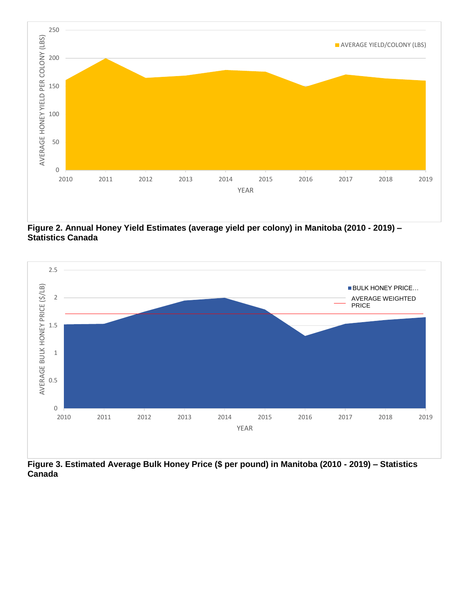

**Figure 2. Annual Honey Yield Estimates (average yield per colony) in Manitoba (2010 - 2019) – Statistics Canada**



**Figure 3. Estimated Average Bulk Honey Price (\$ per pound) in Manitoba (2010 - 2019) – Statistics Canada**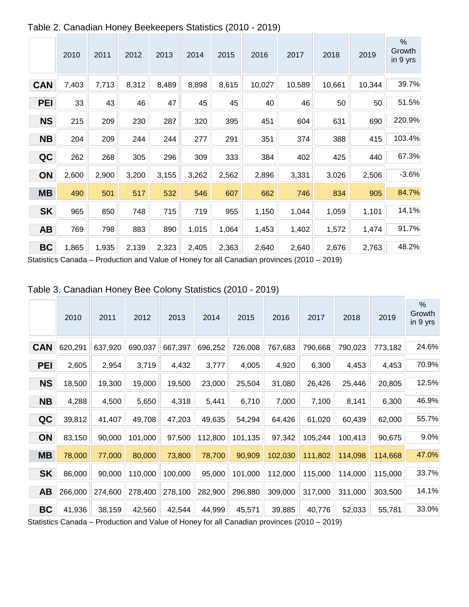|            | 2010  | 2011  | 2012  | 2013  | 2014  | 2015  | 2016   | 2017   | 2018   | 2019   | %<br>Growth<br>in 9 yrs |
|------------|-------|-------|-------|-------|-------|-------|--------|--------|--------|--------|-------------------------|
| <b>CAN</b> | 7,403 | 7,713 | 8,312 | 8,489 | 8,898 | 8,615 | 10,027 | 10,589 | 10,661 | 10,344 | 39.7%                   |
| <b>PEI</b> | 33    | 43    | 46    | 47    | 45    | 45    | 40     | 46     | 50     | 50     | 51.5%                   |
| <b>NS</b>  | 215   | 209   | 230   | 287   | 320   | 395   | 451    | 604    | 631    | 690    | 220.9%                  |
| <b>NB</b>  | 204   | 209   | 244   | 244   | 277   | 291   | 351    | 374    | 388    | 415    | 103.4%                  |
| QC         | 262   | 268   | 305   | 296   | 309   | 333   | 384    | 402    | 425    | 440    | 67.3%                   |
| ON         | 2,600 | 2,900 | 3,200 | 3,155 | 3,262 | 2,562 | 2,896  | 3,331  | 3,026  | 2,506  | $-3.6%$                 |
| <b>MB</b>  | 490   | 501   | 517   | 532   | 546   | 607   | 662    | 746    | 834    | 905    | 84.7%                   |
| <b>SK</b>  | 965   | 850   | 748   | 715   | 719   | 955   | 1,150  | 1,044  | 1,059  | 1,101  | 14.1%                   |
| <b>AB</b>  | 769   | 798   | 883   | 890   | 1,015 | 1,064 | 1,453  | 1,402  | 1,572  | 1,474  | 91.7%                   |
| <b>BC</b>  | 1,865 | 1,935 | 2,139 | 2,323 | 2,405 | 2,363 | 2,640  | 2,640  | 2,676  | 2,763  | 48.2%                   |

Table 2. Canadian Honey Beekeepers Statistics (2010 - 2019)

Statistics Canada – Production and Value of Honey for all Canadian provinces (2010 – 2019)

Table 3. Canadian Honey Bee Colony Statistics (2010 - 2019)

|            | 2010    | 2011    | 2012    | 2013    | 2014    | 2015    | 2016    | 2017    | 2018    | 2019    | %<br>Growth<br>in 9 yrs |
|------------|---------|---------|---------|---------|---------|---------|---------|---------|---------|---------|-------------------------|
| <b>CAN</b> | 620,291 | 637,920 | 690,037 | 667,397 | 696,252 | 726,008 | 767,683 | 790,668 | 790,023 | 773,182 | 24.6%                   |
| <b>PEI</b> | 2,605   | 2,954   | 3,719   | 4,432   | 3,777   | 4,005   | 4,920   | 6,300   | 4,453   | 4,453   | 70.9%                   |
| <b>NS</b>  | 18,500  | 19,300  | 19,000  | 19,500  | 23,000  | 25,504  | 31,080  | 26,426  | 25,446  | 20,805  | 12.5%                   |
| <b>NB</b>  | 4,288   | 4,500   | 5,650   | 4,318   | 5,441   | 6,710   | 7,000   | 7,100   | 8,141   | 6,300   | 46.9%                   |
| QC         | 39,812  | 41,407  | 49,708  | 47,203  | 49,635  | 54,294  | 64,426  | 61,020  | 60,439  | 62,000  | 55.7%                   |
| ON         | 83,150  | 90,000  | 101,000 | 97,500  | 112,800 | 101,135 | 97,342  | 105,244 | 100,413 | 90,675  | 9.0%                    |
| <b>MB</b>  | 78,000  | 77,000  | 80,000  | 73,800  | 78,700  | 90,909  | 102,030 | 111,802 | 114,098 | 114,668 | 47.0%                   |
| <b>SK</b>  | 86,000  | 90,000  | 110,000 | 100,000 | 95,000  | 101,000 | 112,000 | 115,000 | 114,000 | 115,000 | 33.7%                   |
| <b>AB</b>  | 266,000 | 274,600 | 278,400 | 278,100 | 282,900 | 296,880 | 309,000 | 317,000 | 311,000 | 303,500 | 14.1%                   |
| <b>BC</b>  | 41,936  | 38,159  | 42,560  | 42,544  | 44,999  | 45,571  | 39,885  | 40,776  | 52,033  | 55,781  | 33.0%                   |

Statistics Canada – Production and Value of Honey for all Canadian provinces (2010 – 2019)